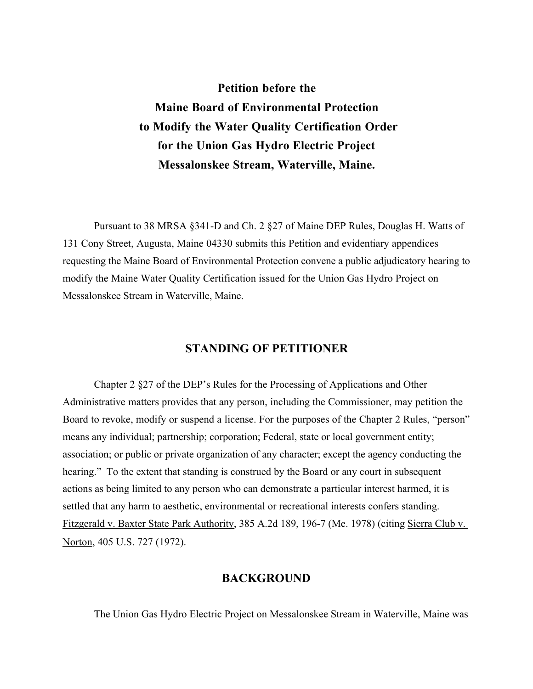# **Petition before the Maine Board of Environmental Protection to Modify the Water Quality Certification Order for the Union Gas Hydro Electric Project Messalonskee Stream, Waterville, Maine.**

Pursuant to 38 MRSA §341-D and Ch. 2 §27 of Maine DEP Rules, Douglas H. Watts of 131 Cony Street, Augusta, Maine 04330 submits this Petition and evidentiary appendices requesting the Maine Board of Environmental Protection convene a public adjudicatory hearing to modify the Maine Water Quality Certification issued for the Union Gas Hydro Project on Messalonskee Stream in Waterville, Maine.

## **STANDING OF PETITIONER**

Chapter 2 §27 of the DEP's Rules for the Processing of Applications and Other Administrative matters provides that any person, including the Commissioner, may petition the Board to revoke, modify or suspend a license. For the purposes of the Chapter 2 Rules, "person" means any individual; partnership; corporation; Federal, state or local government entity; association; or public or private organization of any character; except the agency conducting the hearing." To the extent that standing is construed by the Board or any court in subsequent actions as being limited to any person who can demonstrate a particular interest harmed, it is settled that any harm to aesthetic, environmental or recreational interests confers standing. Fitzgerald v. Baxter State Park Authority, 385 A.2d 189, 196-7 (Me. 1978) (citing Sierra Club v. Norton, 405 U.S. 727 (1972).

### **BACKGROUND**

The Union Gas Hydro Electric Project on Messalonskee Stream in Waterville, Maine was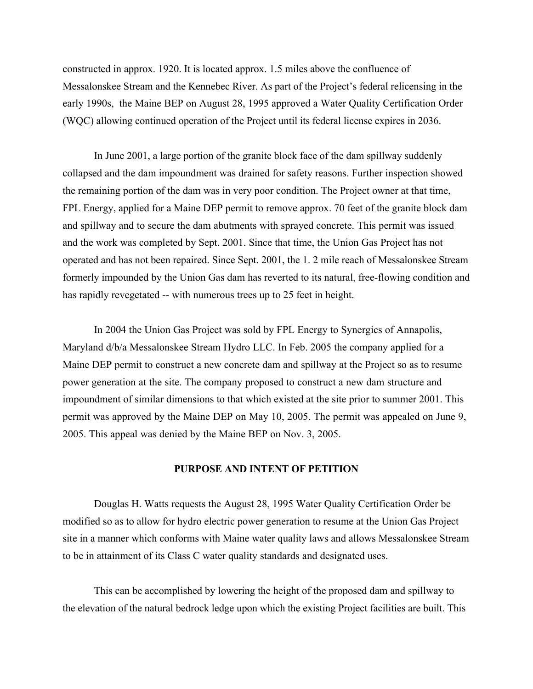constructed in approx. 1920. It is located approx. 1.5 miles above the confluence of Messalonskee Stream and the Kennebec River. As part of the Project's federal relicensing in the early 1990s, the Maine BEP on August 28, 1995 approved a Water Quality Certification Order (WQC) allowing continued operation of the Project until its federal license expires in 2036.

In June 2001, a large portion of the granite block face of the dam spillway suddenly collapsed and the dam impoundment was drained for safety reasons. Further inspection showed the remaining portion of the dam was in very poor condition. The Project owner at that time, FPL Energy, applied for a Maine DEP permit to remove approx. 70 feet of the granite block dam and spillway and to secure the dam abutments with sprayed concrete. This permit was issued and the work was completed by Sept. 2001. Since that time, the Union Gas Project has not operated and has not been repaired. Since Sept. 2001, the 1. 2 mile reach of Messalonskee Stream formerly impounded by the Union Gas dam has reverted to its natural, free-flowing condition and has rapidly revegetated -- with numerous trees up to 25 feet in height.

In 2004 the Union Gas Project was sold by FPL Energy to Synergics of Annapolis, Maryland d/b/a Messalonskee Stream Hydro LLC. In Feb. 2005 the company applied for a Maine DEP permit to construct a new concrete dam and spillway at the Project so as to resume power generation at the site. The company proposed to construct a new dam structure and impoundment of similar dimensions to that which existed at the site prior to summer 2001. This permit was approved by the Maine DEP on May 10, 2005. The permit was appealed on June 9, 2005. This appeal was denied by the Maine BEP on Nov. 3, 2005.

#### **PURPOSE AND INTENT OF PETITION**

Douglas H. Watts requests the August 28, 1995 Water Quality Certification Order be modified so as to allow for hydro electric power generation to resume at the Union Gas Project site in a manner which conforms with Maine water quality laws and allows Messalonskee Stream to be in attainment of its Class C water quality standards and designated uses.

This can be accomplished by lowering the height of the proposed dam and spillway to the elevation of the natural bedrock ledge upon which the existing Project facilities are built. This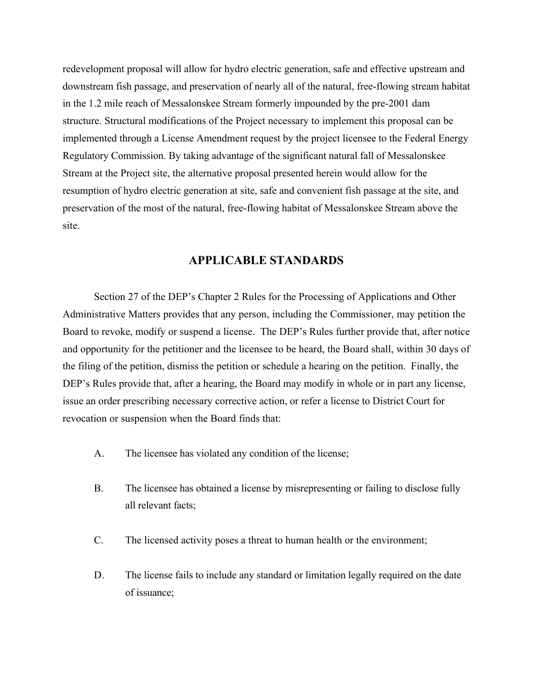redevelopment proposal will allow for hydro electric generation, safe and effective upstream and downstream fish passage, and preservation of nearly all of the natural, free-flowing stream habitat in the 1.2 mile reach of Messalonskee Stream formerly impounded by the pre-2001 dam structure. Structural modifications of the Project necessary to implement this proposal can be implemented through a License Amendment request by the project licensee to the Federal Energy Regulatory Commission. By taking advantage of the significant natural fall of Messalonskee Stream at the Project site, the alternative proposal presented herein would allow for the resumption of hydro electric generation at site, safe and convenient fish passage at the site, and preservation of the most of the natural, free-flowing habitat of Messalonskee Stream above the site.

## **APPLICABLE STANDARDS**

Section 27 of the DEP's Chapter 2 Rules for the Processing of Applications and Other Administrative Matters provides that any person, including the Commissioner, may petition the Board to revoke, modify or suspend a license. The DEP's Rules further provide that, after notice and opportunity for the petitioner and the licensee to be heard, the Board shall, within 30 days of the filing of the petition, dismiss the petition or schedule a hearing on the petition. Finally, the DEP's Rules provide that, after a hearing, the Board may modify in whole or in part any license, issue an order prescribing necessary corrective action, or refer a license to District Court for revocation or suspension when the Board finds that:

- A. The licensee has violated any condition of the license;
- B. The licensee has obtained a license by misrepresenting or failing to disclose fully all relevant facts;
- C. The licensed activity poses a threat to human health or the environment;
- D. The license fails to include any standard or limitation legally required on the date of issuance;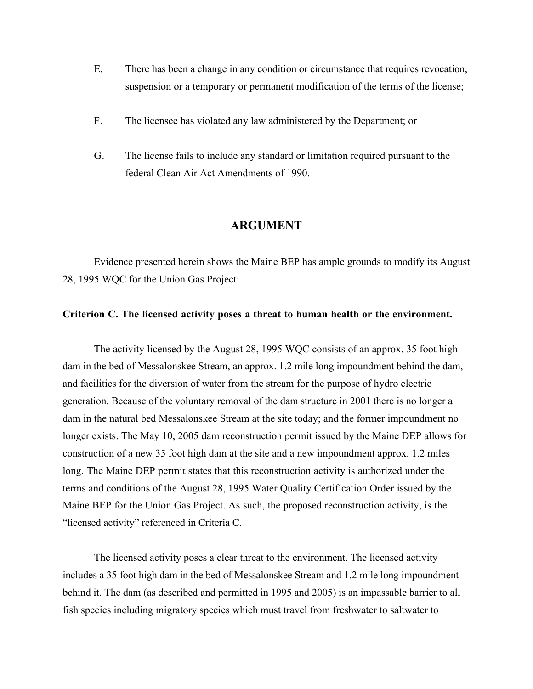- E. There has been a change in any condition or circumstance that requires revocation, suspension or a temporary or permanent modification of the terms of the license;
- F. The licensee has violated any law administered by the Department; or
- G. The license fails to include any standard or limitation required pursuant to the federal Clean Air Act Amendments of 1990.

#### **ARGUMENT**

Evidence presented herein shows the Maine BEP has ample grounds to modify its August 28, 1995 WQC for the Union Gas Project:

#### **Criterion C. The licensed activity poses a threat to human health or the environment.**

The activity licensed by the August 28, 1995 WQC consists of an approx. 35 foot high dam in the bed of Messalonskee Stream, an approx. 1.2 mile long impoundment behind the dam, and facilities for the diversion of water from the stream for the purpose of hydro electric generation. Because of the voluntary removal of the dam structure in 2001 there is no longer a dam in the natural bed Messalonskee Stream at the site today; and the former impoundment no longer exists. The May 10, 2005 dam reconstruction permit issued by the Maine DEP allows for construction of a new 35 foot high dam at the site and a new impoundment approx. 1.2 miles long. The Maine DEP permit states that this reconstruction activity is authorized under the terms and conditions of the August 28, 1995 Water Quality Certification Order issued by the Maine BEP for the Union Gas Project. As such, the proposed reconstruction activity, is the "licensed activity" referenced in Criteria C.

The licensed activity poses a clear threat to the environment. The licensed activity includes a 35 foot high dam in the bed of Messalonskee Stream and 1.2 mile long impoundment behind it. The dam (as described and permitted in 1995 and 2005) is an impassable barrier to all fish species including migratory species which must travel from freshwater to saltwater to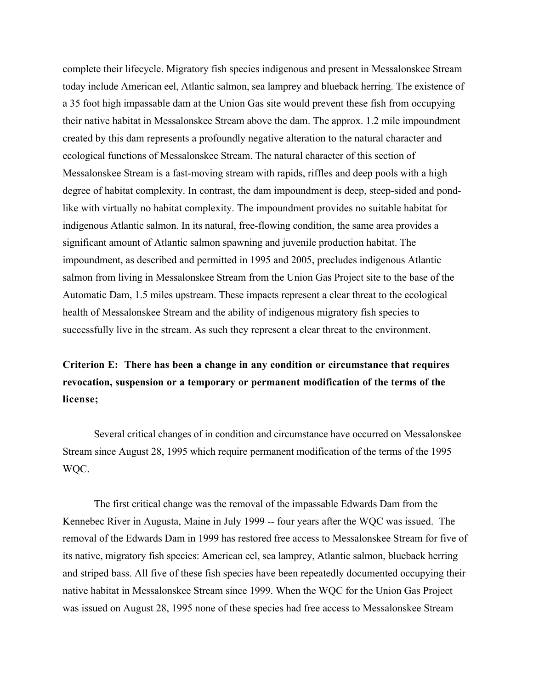complete their lifecycle. Migratory fish species indigenous and present in Messalonskee Stream today include American eel, Atlantic salmon, sea lamprey and blueback herring. The existence of a 35 foot high impassable dam at the Union Gas site would prevent these fish from occupying their native habitat in Messalonskee Stream above the dam. The approx. 1.2 mile impoundment created by this dam represents a profoundly negative alteration to the natural character and ecological functions of Messalonskee Stream. The natural character of this section of Messalonskee Stream is a fast-moving stream with rapids, riffles and deep pools with a high degree of habitat complexity. In contrast, the dam impoundment is deep, steep-sided and pondlike with virtually no habitat complexity. The impoundment provides no suitable habitat for indigenous Atlantic salmon. In its natural, free-flowing condition, the same area provides a significant amount of Atlantic salmon spawning and juvenile production habitat. The impoundment, as described and permitted in 1995 and 2005, precludes indigenous Atlantic salmon from living in Messalonskee Stream from the Union Gas Project site to the base of the Automatic Dam, 1.5 miles upstream. These impacts represent a clear threat to the ecological health of Messalonskee Stream and the ability of indigenous migratory fish species to successfully live in the stream. As such they represent a clear threat to the environment.

# **Criterion E: There has been a change in any condition or circumstance that requires revocation, suspension or a temporary or permanent modification of the terms of the license;**

Several critical changes of in condition and circumstance have occurred on Messalonskee Stream since August 28, 1995 which require permanent modification of the terms of the 1995 WQC.

The first critical change was the removal of the impassable Edwards Dam from the Kennebec River in Augusta, Maine in July 1999 -- four years after the WQC was issued. The removal of the Edwards Dam in 1999 has restored free access to Messalonskee Stream for five of its native, migratory fish species: American eel, sea lamprey, Atlantic salmon, blueback herring and striped bass. All five of these fish species have been repeatedly documented occupying their native habitat in Messalonskee Stream since 1999. When the WQC for the Union Gas Project was issued on August 28, 1995 none of these species had free access to Messalonskee Stream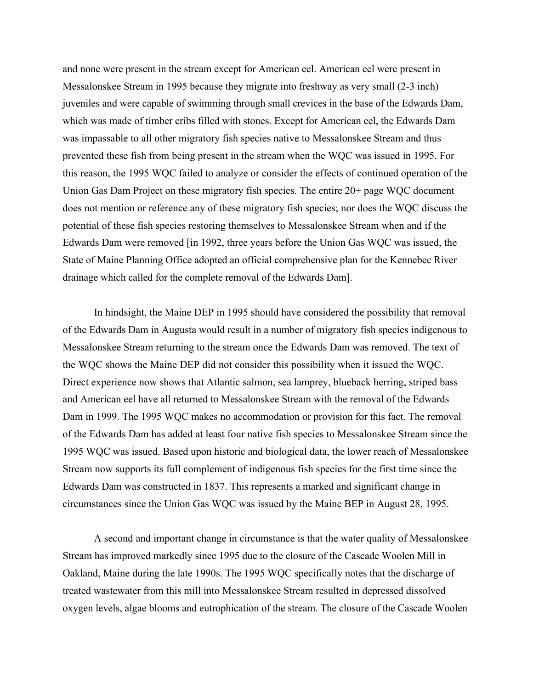and none were present in the stream except for American eel. American eel were present in Messalonskee Stream in 1995 because they migrate into freshway as very small (2-3 inch) juveniles and were capable of swimming through small crevices in the base of the Edwards Dam, which was made of timber cribs filled with stones. Except for American eel, the Edwards Dam was impassable to all other migratory fish species native to Messalonskee Stream and thus prevented these fish from being present in the stream when the WQC was issued in 1995. For this reason, the 1995 WQC failed to analyze or consider the effects of continued operation of the Union Gas Dam Project on these migratory fish species. The entire 20+ page WQC document does not mention or reference any of these migratory fish species; nor does the WQC discuss the potential of these fish species restoring themselves to Messalonskee Stream when and if the Edwards Dam were removed [in 1992, three years before the Union Gas WQC was issued, the State of Maine Planning Office adopted an official comprehensive plan for the Kennebec River drainage which called for the complete removal of the Edwards Dam].

In hindsight, the Maine DEP in 1995 should have considered the possibility that removal of the Edwards Dam in Augusta would result in a number of migratory fish species indigenous to Messalonskee Stream returning to the stream once the Edwards Dam was removed. The text of the WQC shows the Maine DEP did not consider this possibility when it issued the WQC. Direct experience now shows that Atlantic salmon, sea lamprey, blueback herring, striped bass and American eel have all returned to Messalonskee Stream with the removal of the Edwards Dam in 1999. The 1995 WQC makes no accommodation or provision for this fact. The removal of the Edwards Dam has added at least four native fish species to Messalonskee Stream since the 1995 WQC was issued. Based upon historic and biological data, the lower reach of Messalonskee Stream now supports its full complement of indigenous fish species for the first time since the Edwards Dam was constructed in 1837. This represents a marked and significant change in circumstances since the Union Gas WQC was issued by the Maine BEP in August 28, 1995.

A second and important change in circumstance is that the water quality of Messalonskee Stream has improved markedly since 1995 due to the closure of the Cascade Woolen Mill in Oakland, Maine during the late 1990s. The 1995 WQC specifically notes that the discharge of treated wastewater from this mill into Messalonskee Stream resulted in depressed dissolved oxygen levels, algae blooms and eutrophication of the stream. The closure of the Cascade Woolen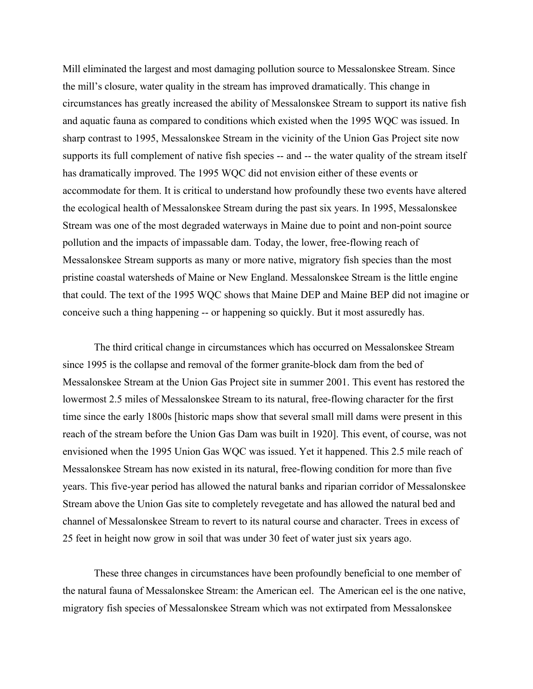Mill eliminated the largest and most damaging pollution source to Messalonskee Stream. Since the mill's closure, water quality in the stream has improved dramatically. This change in circumstances has greatly increased the ability of Messalonskee Stream to support its native fish and aquatic fauna as compared to conditions which existed when the 1995 WQC was issued. In sharp contrast to 1995, Messalonskee Stream in the vicinity of the Union Gas Project site now supports its full complement of native fish species -- and -- the water quality of the stream itself has dramatically improved. The 1995 WQC did not envision either of these events or accommodate for them. It is critical to understand how profoundly these two events have altered the ecological health of Messalonskee Stream during the past six years. In 1995, Messalonskee Stream was one of the most degraded waterways in Maine due to point and non-point source pollution and the impacts of impassable dam. Today, the lower, free-flowing reach of Messalonskee Stream supports as many or more native, migratory fish species than the most pristine coastal watersheds of Maine or New England. Messalonskee Stream is the little engine that could. The text of the 1995 WQC shows that Maine DEP and Maine BEP did not imagine or conceive such a thing happening -- or happening so quickly. But it most assuredly has.

The third critical change in circumstances which has occurred on Messalonskee Stream since 1995 is the collapse and removal of the former granite-block dam from the bed of Messalonskee Stream at the Union Gas Project site in summer 2001. This event has restored the lowermost 2.5 miles of Messalonskee Stream to its natural, free-flowing character for the first time since the early 1800s [historic maps show that several small mill dams were present in this reach of the stream before the Union Gas Dam was built in 1920]. This event, of course, was not envisioned when the 1995 Union Gas WQC was issued. Yet it happened. This 2.5 mile reach of Messalonskee Stream has now existed in its natural, free-flowing condition for more than five years. This five-year period has allowed the natural banks and riparian corridor of Messalonskee Stream above the Union Gas site to completely revegetate and has allowed the natural bed and channel of Messalonskee Stream to revert to its natural course and character. Trees in excess of 25 feet in height now grow in soil that was under 30 feet of water just six years ago.

These three changes in circumstances have been profoundly beneficial to one member of the natural fauna of Messalonskee Stream: the American eel. The American eel is the one native, migratory fish species of Messalonskee Stream which was not extirpated from Messalonskee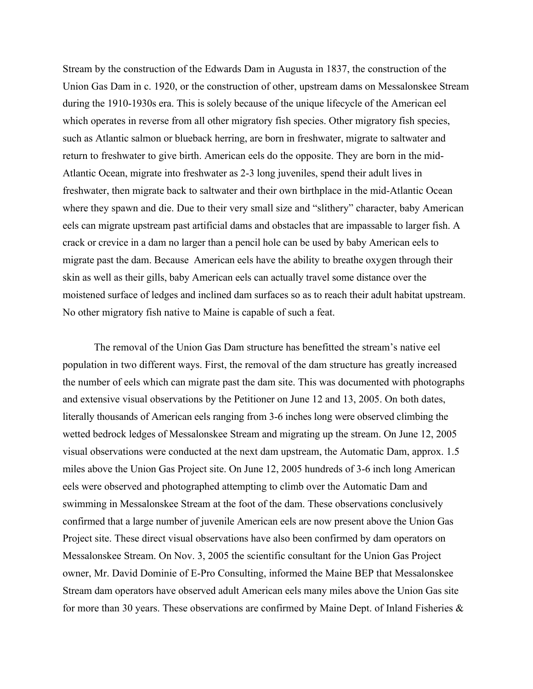Stream by the construction of the Edwards Dam in Augusta in 1837, the construction of the Union Gas Dam in c. 1920, or the construction of other, upstream dams on Messalonskee Stream during the 1910-1930s era. This is solely because of the unique lifecycle of the American eel which operates in reverse from all other migratory fish species. Other migratory fish species, such as Atlantic salmon or blueback herring, are born in freshwater, migrate to saltwater and return to freshwater to give birth. American eels do the opposite. They are born in the mid-Atlantic Ocean, migrate into freshwater as 2-3 long juveniles, spend their adult lives in freshwater, then migrate back to saltwater and their own birthplace in the mid-Atlantic Ocean where they spawn and die. Due to their very small size and "slithery" character, baby American eels can migrate upstream past artificial dams and obstacles that are impassable to larger fish. A crack or crevice in a dam no larger than a pencil hole can be used by baby American eels to migrate past the dam. Because American eels have the ability to breathe oxygen through their skin as well as their gills, baby American eels can actually travel some distance over the moistened surface of ledges and inclined dam surfaces so as to reach their adult habitat upstream. No other migratory fish native to Maine is capable of such a feat.

The removal of the Union Gas Dam structure has benefitted the stream's native eel population in two different ways. First, the removal of the dam structure has greatly increased the number of eels which can migrate past the dam site. This was documented with photographs and extensive visual observations by the Petitioner on June 12 and 13, 2005. On both dates, literally thousands of American eels ranging from 3-6 inches long were observed climbing the wetted bedrock ledges of Messalonskee Stream and migrating up the stream. On June 12, 2005 visual observations were conducted at the next dam upstream, the Automatic Dam, approx. 1.5 miles above the Union Gas Project site. On June 12, 2005 hundreds of 3-6 inch long American eels were observed and photographed attempting to climb over the Automatic Dam and swimming in Messalonskee Stream at the foot of the dam. These observations conclusively confirmed that a large number of juvenile American eels are now present above the Union Gas Project site. These direct visual observations have also been confirmed by dam operators on Messalonskee Stream. On Nov. 3, 2005 the scientific consultant for the Union Gas Project owner, Mr. David Dominie of E-Pro Consulting, informed the Maine BEP that Messalonskee Stream dam operators have observed adult American eels many miles above the Union Gas site for more than 30 years. These observations are confirmed by Maine Dept. of Inland Fisheries  $\&$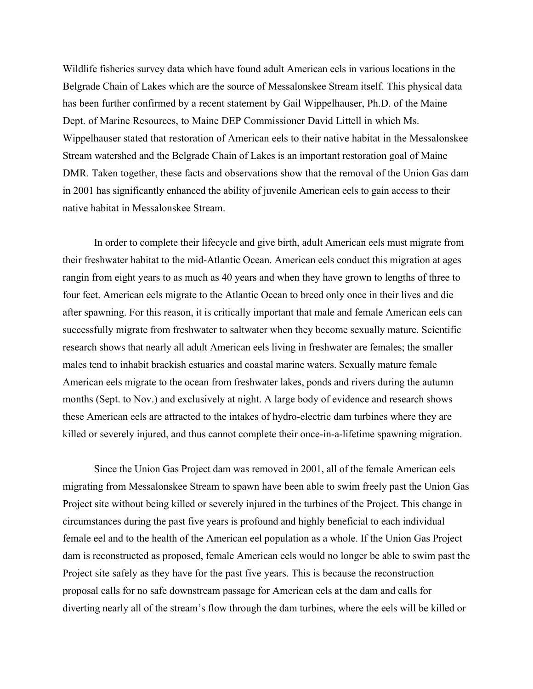Wildlife fisheries survey data which have found adult American eels in various locations in the Belgrade Chain of Lakes which are the source of Messalonskee Stream itself. This physical data has been further confirmed by a recent statement by Gail Wippelhauser, Ph.D. of the Maine Dept. of Marine Resources, to Maine DEP Commissioner David Littell in which Ms. Wippelhauser stated that restoration of American eels to their native habitat in the Messalonskee Stream watershed and the Belgrade Chain of Lakes is an important restoration goal of Maine DMR. Taken together, these facts and observations show that the removal of the Union Gas dam in 2001 has significantly enhanced the ability of juvenile American eels to gain access to their native habitat in Messalonskee Stream.

In order to complete their lifecycle and give birth, adult American eels must migrate from their freshwater habitat to the mid-Atlantic Ocean. American eels conduct this migration at ages rangin from eight years to as much as 40 years and when they have grown to lengths of three to four feet. American eels migrate to the Atlantic Ocean to breed only once in their lives and die after spawning. For this reason, it is critically important that male and female American eels can successfully migrate from freshwater to saltwater when they become sexually mature. Scientific research shows that nearly all adult American eels living in freshwater are females; the smaller males tend to inhabit brackish estuaries and coastal marine waters. Sexually mature female American eels migrate to the ocean from freshwater lakes, ponds and rivers during the autumn months (Sept. to Nov.) and exclusively at night. A large body of evidence and research shows these American eels are attracted to the intakes of hydro-electric dam turbines where they are killed or severely injured, and thus cannot complete their once-in-a-lifetime spawning migration.

Since the Union Gas Project dam was removed in 2001, all of the female American eels migrating from Messalonskee Stream to spawn have been able to swim freely past the Union Gas Project site without being killed or severely injured in the turbines of the Project. This change in circumstances during the past five years is profound and highly beneficial to each individual female eel and to the health of the American eel population as a whole. If the Union Gas Project dam is reconstructed as proposed, female American eels would no longer be able to swim past the Project site safely as they have for the past five years. This is because the reconstruction proposal calls for no safe downstream passage for American eels at the dam and calls for diverting nearly all of the stream's flow through the dam turbines, where the eels will be killed or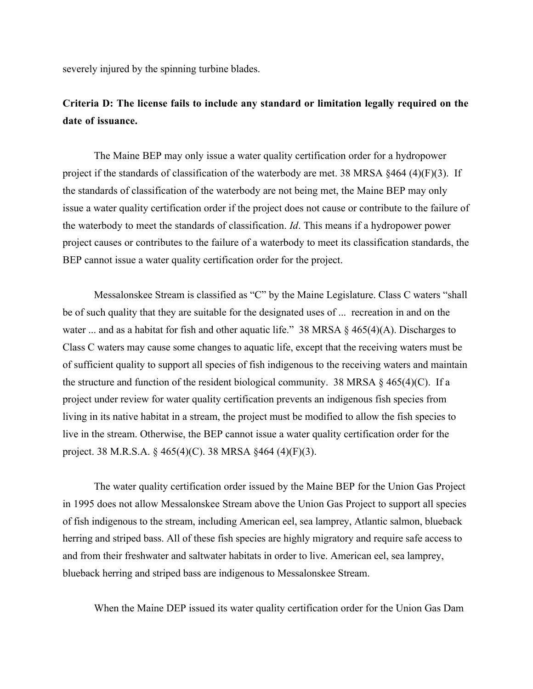severely injured by the spinning turbine blades.

# **Criteria D: The license fails to include any standard or limitation legally required on the date of issuance.**

The Maine BEP may only issue a water quality certification order for a hydropower project if the standards of classification of the waterbody are met. 38 MRSA §464 (4)(F)(3). If the standards of classification of the waterbody are not being met, the Maine BEP may only issue a water quality certification order if the project does not cause or contribute to the failure of the waterbody to meet the standards of classification. *Id*. This means if a hydropower power project causes or contributes to the failure of a waterbody to meet its classification standards, the BEP cannot issue a water quality certification order for the project.

Messalonskee Stream is classified as "C" by the Maine Legislature. Class C waters "shall be of such quality that they are suitable for the designated uses of ... recreation in and on the water ... and as a habitat for fish and other aquatic life." 38 MRSA  $\S$  465(4)(A). Discharges to Class C waters may cause some changes to aquatic life, except that the receiving waters must be of sufficient quality to support all species of fish indigenous to the receiving waters and maintain the structure and function of the resident biological community. 38 MRSA  $\S$  465(4)(C). If a project under review for water quality certification prevents an indigenous fish species from living in its native habitat in a stream, the project must be modified to allow the fish species to live in the stream. Otherwise, the BEP cannot issue a water quality certification order for the project. 38 M.R.S.A. § 465(4)(C). 38 MRSA §464 (4)(F)(3).

The water quality certification order issued by the Maine BEP for the Union Gas Project in 1995 does not allow Messalonskee Stream above the Union Gas Project to support all species of fish indigenous to the stream, including American eel, sea lamprey, Atlantic salmon, blueback herring and striped bass. All of these fish species are highly migratory and require safe access to and from their freshwater and saltwater habitats in order to live. American eel, sea lamprey, blueback herring and striped bass are indigenous to Messalonskee Stream.

When the Maine DEP issued its water quality certification order for the Union Gas Dam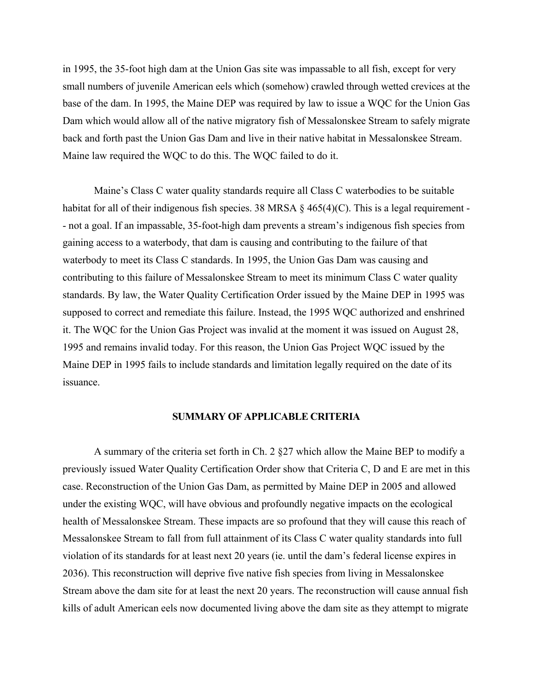in 1995, the 35-foot high dam at the Union Gas site was impassable to all fish, except for very small numbers of juvenile American eels which (somehow) crawled through wetted crevices at the base of the dam. In 1995, the Maine DEP was required by law to issue a WQC for the Union Gas Dam which would allow all of the native migratory fish of Messalonskee Stream to safely migrate back and forth past the Union Gas Dam and live in their native habitat in Messalonskee Stream. Maine law required the WQC to do this. The WQC failed to do it.

Maine's Class C water quality standards require all Class C waterbodies to be suitable habitat for all of their indigenous fish species. 38 MRSA  $\S$  465(4)(C). This is a legal requirement -- not a goal. If an impassable, 35-foot-high dam prevents a stream's indigenous fish species from gaining access to a waterbody, that dam is causing and contributing to the failure of that waterbody to meet its Class C standards. In 1995, the Union Gas Dam was causing and contributing to this failure of Messalonskee Stream to meet its minimum Class C water quality standards. By law, the Water Quality Certification Order issued by the Maine DEP in 1995 was supposed to correct and remediate this failure. Instead, the 1995 WQC authorized and enshrined it. The WQC for the Union Gas Project was invalid at the moment it was issued on August 28, 1995 and remains invalid today. For this reason, the Union Gas Project WQC issued by the Maine DEP in 1995 fails to include standards and limitation legally required on the date of its issuance.

#### **SUMMARY OF APPLICABLE CRITERIA**

A summary of the criteria set forth in Ch. 2 §27 which allow the Maine BEP to modify a previously issued Water Quality Certification Order show that Criteria C, D and E are met in this case. Reconstruction of the Union Gas Dam, as permitted by Maine DEP in 2005 and allowed under the existing WQC, will have obvious and profoundly negative impacts on the ecological health of Messalonskee Stream. These impacts are so profound that they will cause this reach of Messalonskee Stream to fall from full attainment of its Class C water quality standards into full violation of its standards for at least next 20 years (ie. until the dam's federal license expires in 2036). This reconstruction will deprive five native fish species from living in Messalonskee Stream above the dam site for at least the next 20 years. The reconstruction will cause annual fish kills of adult American eels now documented living above the dam site as they attempt to migrate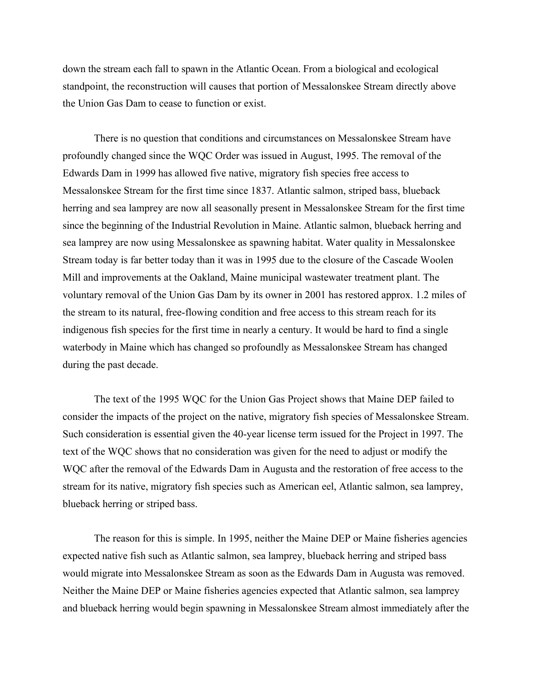down the stream each fall to spawn in the Atlantic Ocean. From a biological and ecological standpoint, the reconstruction will causes that portion of Messalonskee Stream directly above the Union Gas Dam to cease to function or exist.

There is no question that conditions and circumstances on Messalonskee Stream have profoundly changed since the WQC Order was issued in August, 1995. The removal of the Edwards Dam in 1999 has allowed five native, migratory fish species free access to Messalonskee Stream for the first time since 1837. Atlantic salmon, striped bass, blueback herring and sea lamprey are now all seasonally present in Messalonskee Stream for the first time since the beginning of the Industrial Revolution in Maine. Atlantic salmon, blueback herring and sea lamprey are now using Messalonskee as spawning habitat. Water quality in Messalonskee Stream today is far better today than it was in 1995 due to the closure of the Cascade Woolen Mill and improvements at the Oakland, Maine municipal wastewater treatment plant. The voluntary removal of the Union Gas Dam by its owner in 2001 has restored approx. 1.2 miles of the stream to its natural, free-flowing condition and free access to this stream reach for its indigenous fish species for the first time in nearly a century. It would be hard to find a single waterbody in Maine which has changed so profoundly as Messalonskee Stream has changed during the past decade.

The text of the 1995 WQC for the Union Gas Project shows that Maine DEP failed to consider the impacts of the project on the native, migratory fish species of Messalonskee Stream. Such consideration is essential given the 40-year license term issued for the Project in 1997. The text of the WQC shows that no consideration was given for the need to adjust or modify the WQC after the removal of the Edwards Dam in Augusta and the restoration of free access to the stream for its native, migratory fish species such as American eel, Atlantic salmon, sea lamprey, blueback herring or striped bass.

The reason for this is simple. In 1995, neither the Maine DEP or Maine fisheries agencies expected native fish such as Atlantic salmon, sea lamprey, blueback herring and striped bass would migrate into Messalonskee Stream as soon as the Edwards Dam in Augusta was removed. Neither the Maine DEP or Maine fisheries agencies expected that Atlantic salmon, sea lamprey and blueback herring would begin spawning in Messalonskee Stream almost immediately after the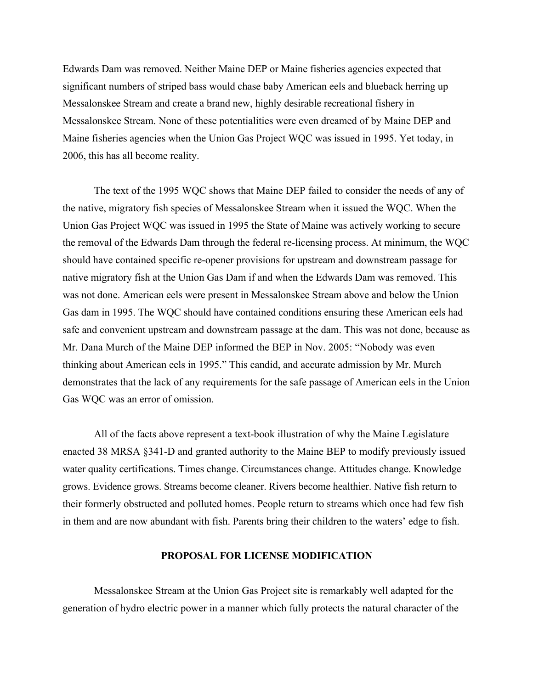Edwards Dam was removed. Neither Maine DEP or Maine fisheries agencies expected that significant numbers of striped bass would chase baby American eels and blueback herring up Messalonskee Stream and create a brand new, highly desirable recreational fishery in Messalonskee Stream. None of these potentialities were even dreamed of by Maine DEP and Maine fisheries agencies when the Union Gas Project WQC was issued in 1995. Yet today, in 2006, this has all become reality.

The text of the 1995 WQC shows that Maine DEP failed to consider the needs of any of the native, migratory fish species of Messalonskee Stream when it issued the WQC. When the Union Gas Project WQC was issued in 1995 the State of Maine was actively working to secure the removal of the Edwards Dam through the federal re-licensing process. At minimum, the WQC should have contained specific re-opener provisions for upstream and downstream passage for native migratory fish at the Union Gas Dam if and when the Edwards Dam was removed. This was not done. American eels were present in Messalonskee Stream above and below the Union Gas dam in 1995. The WQC should have contained conditions ensuring these American eels had safe and convenient upstream and downstream passage at the dam. This was not done, because as Mr. Dana Murch of the Maine DEP informed the BEP in Nov. 2005: "Nobody was even thinking about American eels in 1995." This candid, and accurate admission by Mr. Murch demonstrates that the lack of any requirements for the safe passage of American eels in the Union Gas WQC was an error of omission.

All of the facts above represent a text-book illustration of why the Maine Legislature enacted 38 MRSA §341-D and granted authority to the Maine BEP to modify previously issued water quality certifications. Times change. Circumstances change. Attitudes change. Knowledge grows. Evidence grows. Streams become cleaner. Rivers become healthier. Native fish return to their formerly obstructed and polluted homes. People return to streams which once had few fish in them and are now abundant with fish. Parents bring their children to the waters' edge to fish.

#### **PROPOSAL FOR LICENSE MODIFICATION**

Messalonskee Stream at the Union Gas Project site is remarkably well adapted for the generation of hydro electric power in a manner which fully protects the natural character of the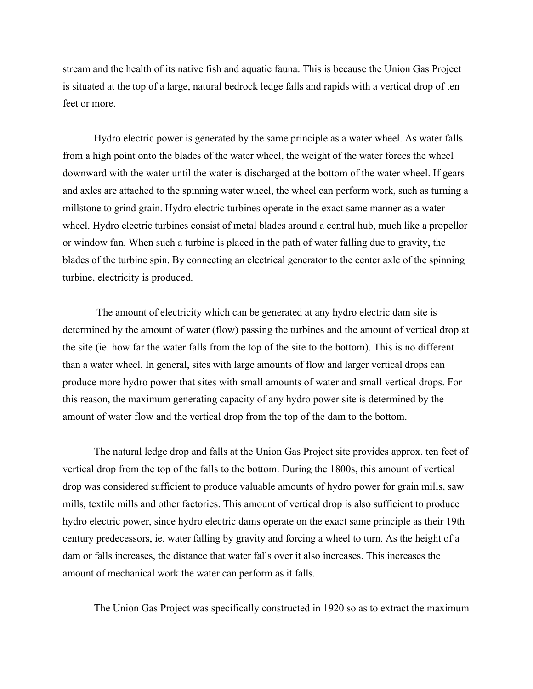stream and the health of its native fish and aquatic fauna. This is because the Union Gas Project is situated at the top of a large, natural bedrock ledge falls and rapids with a vertical drop of ten feet or more

Hydro electric power is generated by the same principle as a water wheel. As water falls from a high point onto the blades of the water wheel, the weight of the water forces the wheel downward with the water until the water is discharged at the bottom of the water wheel. If gears and axles are attached to the spinning water wheel, the wheel can perform work, such as turning a millstone to grind grain. Hydro electric turbines operate in the exact same manner as a water wheel. Hydro electric turbines consist of metal blades around a central hub, much like a propellor or window fan. When such a turbine is placed in the path of water falling due to gravity, the blades of the turbine spin. By connecting an electrical generator to the center axle of the spinning turbine, electricity is produced.

 The amount of electricity which can be generated at any hydro electric dam site is determined by the amount of water (flow) passing the turbines and the amount of vertical drop at the site (ie. how far the water falls from the top of the site to the bottom). This is no different than a water wheel. In general, sites with large amounts of flow and larger vertical drops can produce more hydro power that sites with small amounts of water and small vertical drops. For this reason, the maximum generating capacity of any hydro power site is determined by the amount of water flow and the vertical drop from the top of the dam to the bottom.

The natural ledge drop and falls at the Union Gas Project site provides approx. ten feet of vertical drop from the top of the falls to the bottom. During the 1800s, this amount of vertical drop was considered sufficient to produce valuable amounts of hydro power for grain mills, saw mills, textile mills and other factories. This amount of vertical drop is also sufficient to produce hydro electric power, since hydro electric dams operate on the exact same principle as their 19th century predecessors, ie. water falling by gravity and forcing a wheel to turn. As the height of a dam or falls increases, the distance that water falls over it also increases. This increases the amount of mechanical work the water can perform as it falls.

The Union Gas Project was specifically constructed in 1920 so as to extract the maximum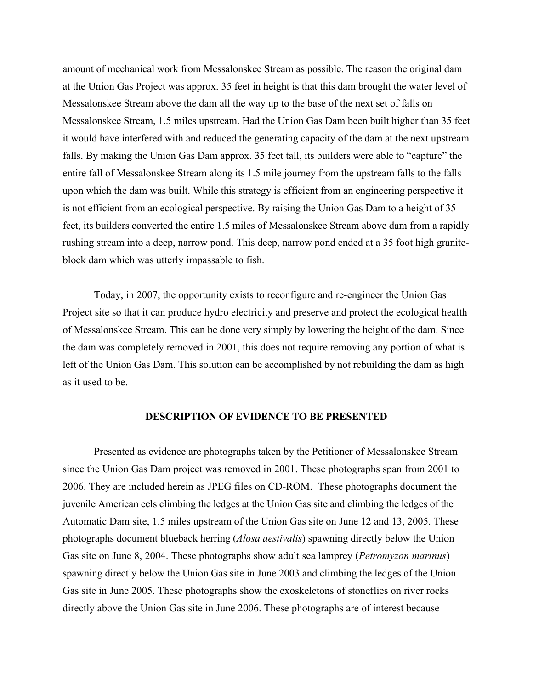amount of mechanical work from Messalonskee Stream as possible. The reason the original dam at the Union Gas Project was approx. 35 feet in height is that this dam brought the water level of Messalonskee Stream above the dam all the way up to the base of the next set of falls on Messalonskee Stream, 1.5 miles upstream. Had the Union Gas Dam been built higher than 35 feet it would have interfered with and reduced the generating capacity of the dam at the next upstream falls. By making the Union Gas Dam approx. 35 feet tall, its builders were able to "capture" the entire fall of Messalonskee Stream along its 1.5 mile journey from the upstream falls to the falls upon which the dam was built. While this strategy is efficient from an engineering perspective it is not efficient from an ecological perspective. By raising the Union Gas Dam to a height of 35 feet, its builders converted the entire 1.5 miles of Messalonskee Stream above dam from a rapidly rushing stream into a deep, narrow pond. This deep, narrow pond ended at a 35 foot high graniteblock dam which was utterly impassable to fish.

Today, in 2007, the opportunity exists to reconfigure and re-engineer the Union Gas Project site so that it can produce hydro electricity and preserve and protect the ecological health of Messalonskee Stream. This can be done very simply by lowering the height of the dam. Since the dam was completely removed in 2001, this does not require removing any portion of what is left of the Union Gas Dam. This solution can be accomplished by not rebuilding the dam as high as it used to be.

#### **DESCRIPTION OF EVIDENCE TO BE PRESENTED**

Presented as evidence are photographs taken by the Petitioner of Messalonskee Stream since the Union Gas Dam project was removed in 2001. These photographs span from 2001 to 2006. They are included herein as JPEG files on CD-ROM. These photographs document the juvenile American eels climbing the ledges at the Union Gas site and climbing the ledges of the Automatic Dam site, 1.5 miles upstream of the Union Gas site on June 12 and 13, 2005. These photographs document blueback herring (*Alosa aestivalis*) spawning directly below the Union Gas site on June 8, 2004. These photographs show adult sea lamprey (*Petromyzon marinus*) spawning directly below the Union Gas site in June 2003 and climbing the ledges of the Union Gas site in June 2005. These photographs show the exoskeletons of stoneflies on river rocks directly above the Union Gas site in June 2006. These photographs are of interest because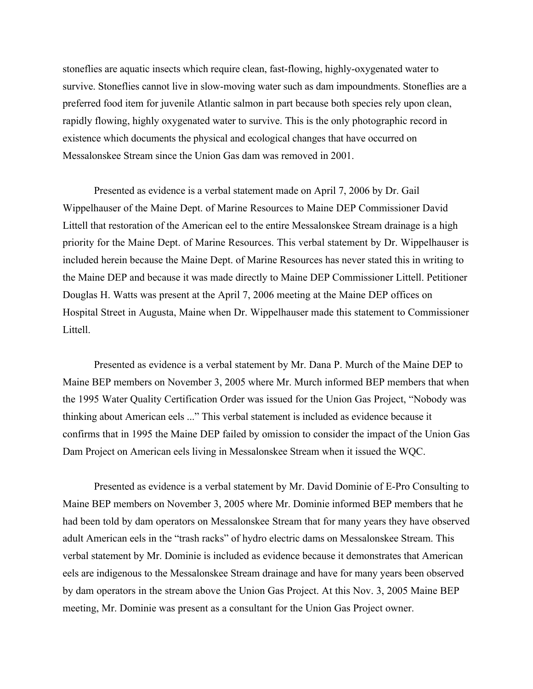stoneflies are aquatic insects which require clean, fast-flowing, highly-oxygenated water to survive. Stoneflies cannot live in slow-moving water such as dam impoundments. Stoneflies are a preferred food item for juvenile Atlantic salmon in part because both species rely upon clean, rapidly flowing, highly oxygenated water to survive. This is the only photographic record in existence which documents the physical and ecological changes that have occurred on Messalonskee Stream since the Union Gas dam was removed in 2001.

Presented as evidence is a verbal statement made on April 7, 2006 by Dr. Gail Wippelhauser of the Maine Dept. of Marine Resources to Maine DEP Commissioner David Littell that restoration of the American eel to the entire Messalonskee Stream drainage is a high priority for the Maine Dept. of Marine Resources. This verbal statement by Dr. Wippelhauser is included herein because the Maine Dept. of Marine Resources has never stated this in writing to the Maine DEP and because it was made directly to Maine DEP Commissioner Littell. Petitioner Douglas H. Watts was present at the April 7, 2006 meeting at the Maine DEP offices on Hospital Street in Augusta, Maine when Dr. Wippelhauser made this statement to Commissioner Littell.

Presented as evidence is a verbal statement by Mr. Dana P. Murch of the Maine DEP to Maine BEP members on November 3, 2005 where Mr. Murch informed BEP members that when the 1995 Water Quality Certification Order was issued for the Union Gas Project, "Nobody was thinking about American eels ..." This verbal statement is included as evidence because it confirms that in 1995 the Maine DEP failed by omission to consider the impact of the Union Gas Dam Project on American eels living in Messalonskee Stream when it issued the WQC.

Presented as evidence is a verbal statement by Mr. David Dominie of E-Pro Consulting to Maine BEP members on November 3, 2005 where Mr. Dominie informed BEP members that he had been told by dam operators on Messalonskee Stream that for many years they have observed adult American eels in the "trash racks" of hydro electric dams on Messalonskee Stream. This verbal statement by Mr. Dominie is included as evidence because it demonstrates that American eels are indigenous to the Messalonskee Stream drainage and have for many years been observed by dam operators in the stream above the Union Gas Project. At this Nov. 3, 2005 Maine BEP meeting, Mr. Dominie was present as a consultant for the Union Gas Project owner.